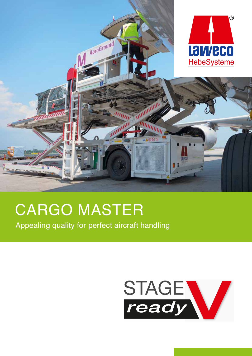

# **CARGO MASTER**

Appealing quality for perfect aircraft handling

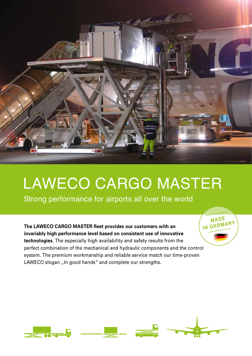

# LAWECO CARGO MASTER

**Mad<sup>e</sup> in Germany**

Strong performance for airports all over the world

**The LAWECO CARGO MASTER fleet provides our customers with an invariably high performance level based on consistent use of innovative technologies.** The especially high availability and safety results from the perfect combination of the mechanical and hydraulic components and the control system. The premium workmanship and reliable service match our time-proven LAWECO slogan "In good hands" and complete our strengths.

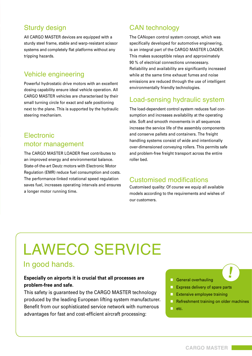### Sturdy design

All CARGO MASTER devices are equipped with a sturdy steel frame, stable and warp-resistant scissor systems and completely flat platforms without any tripping hazards.

#### Vehicle engineering

Powerful hydrostatic drive motors with an excellent dosing capability ensure ideal vehicle operation. All CARGO MASTER vehicles are characterised by their small turning circle for exact and safe positioning next to the plane. This is supported by the hydraulic steering mechanism.

#### **Electronic** motor management

The CARGO MASTER LOADER fleet contributes to an improved energy and environmental balance. State-of-the-art Deutz motors with Electronic Motor Regulation (EMR) reduce fuel consumption and costs. The performance-linked rotational speed regulation saves fuel, increases operating intervals and ensures a longer motor running time.

### CAN technology

The CANopen control system concept, which was specifically developed for automotive engineering, is an integral part of the CARGO MASTER LOADER. This makes susceptible relays and approximately 90 % of electrical connections unnecessary. Reliability and availability are significantly increased while at the same time exhaust fumes and noise emissions are reduced through the use of intelligent environmentally friendly technologies.

#### Load-sensing hydraulic system

The load-dependent control system reduces fuel consumption and increases availability at the operating site. Soft and smooth movements in all sequences increase the service life of the assembly components and conserve pallets and containers. The freight handling systems consist of wide and intentionally over-dimensioned conveying rollers. This permits safe and problem-free freight transport across the entire roller bed.

#### Customised modifications

Customised quality: Of course we equip all available models according to the requirements and wishes of our customers.

# LAWECO SERVICE

## In good hands.

#### **Especially on airports it is crucial that all processes are problem-free and safe.**

This safety is guaranteed by the CARGO MASTER technology produced by the leading European lifting system manufacturer. Benefit from our sophisticated service network with numerous advantages for fast and cost-efficient aircraft processing:

#### General overhauling

- **Express delivery of spare parts**
- **Extensive employee training**
- **Refreshment training on older machines**

**!**

**n** etc.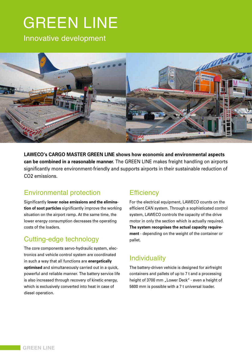# **GREEN LINE**

Innovative development



**LAWECO's CARGO MASTER GREEN LINE shows how economic and environmental aspects can be combined in a reasonable manner.** The GREEN LINE makes freight handling on airports significantly more environment-friendly and supports airports in their sustainable reduction of CO2 emissions.

## Environmental protection

Significantly **lower noise emissions and the elimination of soot particles** significantly improve the working situation on the airport ramp. At the same time, the lower energy consumption decreases the operating costs of the loaders.

## Cutting-edge technology

The core components servo-hydraulic system, electronics and vehicle control system are coordinated in such a way that all functions are **energetically optimised** and simultaneously carried out in a quick, powerful and reliable manner. The battery service life is also increased through recovery of kinetic energy, which is exclusively converted into heat in case of diesel operation.

## **Efficiency**

For the electrical equipment, LAWECO counts on the efficient CAN system. Through a sophisticated control system, LAWECO controls the capacity of the drive motor in only the section which is actually required. **The system recognises the actual capacity requirement** - depending on the weight of the container or pallet.

## **Individuality**

The battery-driven vehicle is designed for airfreight containers and pallets of up to 7 t and a processing height of 3700 mm "Lower Deck" - even a height of 5600 mm is possible with a 7 t universal loader.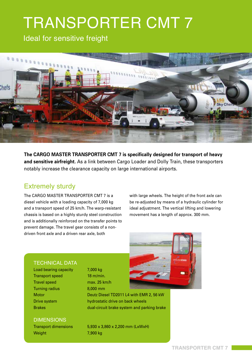# TRANSPORTER CMT 7

Ideal for sensitive freight



**The CARGO MASTER TRANSPORTER CMT 7 is specifically designed for transport of heavy and sensitive airfreight.** As a link between Cargo Loader and Dolly Train, these transporters notably increase the clearance capacity on large international airports.

### Extremely sturdy

The CARGO MASTER TRANSPORTER CMT 7 is a diesel vehicle with a loading capacity of 7,000 kg and a transport speed of 25 km/h. The warp-resistant chassis is based on a highly sturdy steel construction and is additionally reinforced on the transfer points to prevent damage. The travel gear consists of a nondriven front axle and a driven rear axle, both

with large wheels. The height of the front axle can be re-adjusted by means of a hydraulic cylinder for ideal adjustment. The vertical lifting and lowering movement has a length of approx. 300 mm.

#### **TECHNICAL DATA**

Load bearing capacity 7,000 kg Transport speed 18 m/min. Travel speed max. 25 km/h Turning radius 8,000 mm

**DIMENSIONS** 

Motor Deutz Diesel TD2011 L4 with EMR 2, 56 kW Drive system hydrostatic drive on back wheels Brakes dual-circuit brake system and parking brake

Transport dimensions 5,930 x 3,860 x 2,200 mm (LxWxH) Weight 7,900 kg

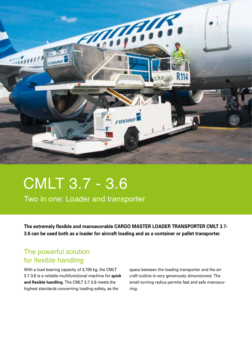

# CMLT 3.7 - 3.6

Two in one: Loader and transporter

**The extremely flexible and manoeuvrable CARGO MASTER LOADER TRANSPORTER CMLT 3.7- 3.6 can be used both as a loader for aircraft loading and as a container or pallet transporter.**

### The powerful solution for flexible handling

With a load bearing capacity of 3,700 kg, the CMLT 3.7-3.6 is a reliable multifunctional machine for **quick and flexible handling**. The CMLT 3.7-3.6 meets the highest standards concerning loading safety, as the

space between the loading transporter and the aircraft outline is very generously dimensioned. The small turning radius permits fast and safe manoeuvring.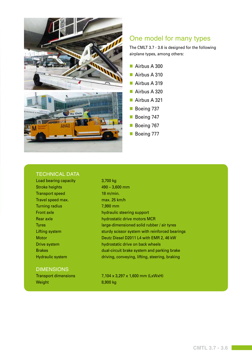

#### One model for many types

The CMLT 3.7 - 3.6 is designed for the following airplane types, among others:

- Airbus A 300
- Airbus A 310
- Airbus A 319
- Airbus A 320
- Airbus A 321
- Boeing 737
- Boeing 747
- Boeing 767
- **Boeing 777**

#### **TECHNICAL DATA**

Load bearing capacity 3,700 kg Stroke heights 490 – 3,600 mm Transport speed 18 m/min. Travel speed max. max. 25 km/h Turning radius 7,990 mm

#### **DIMENSIONS**

Weight 8,900 kg

Front axle hydraulic steering support Rear axle hydrostatic drive motors MCR Tyres large-dimensioned solid rubber / air tyres Lifting system sturdy scissor system with reinforced bearings Motor Deutz Diesel D2011 L4 with EMR 2, 46 kW Drive system **hydrostatic drive on back wheels** Brakes dual-circuit brake system and parking brake Hydraulic system driving, conveying, lifting, steering, braking

Transport dimensions 7,104 x 3,297 x 1,600 mm (LxWxH)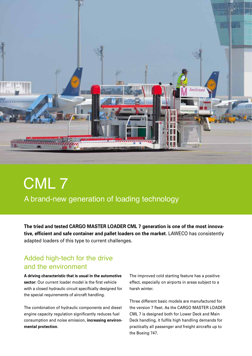

# CML 7 A brand-new generation of loading technology

**The tried and tested CARGO MASTER LOADER CML 7 generation is one of the most innovative, efficient and safe container and pallet loaders on the market.** LAWECO has consistently adapted loaders of this type to current challenges.

### Added high-tech for the drive and the environment

**A driving characteristic that is usual in the automotive sector:** Our current loader model is the first vehicle with a closed hydraulic circuit specifically designed for the special requirements of aircraft handling.

The combination of hydraulic components and diesel engine capacity regulation significantly reduces fuel consumption and noise emission, **increasing environmental protection**.

The improved cold starting feature has a positive effect, especially on airports in areas subject to a harsh winter.

Three different basic models are manufactured for the version 7 fleet. As the CARGO MASTER LOADER CML 7 is designed both for Lower Deck and Main Deck handling, it fulfils high handling demands for practically all passenger and freight aircrafts up to the Boeing 747.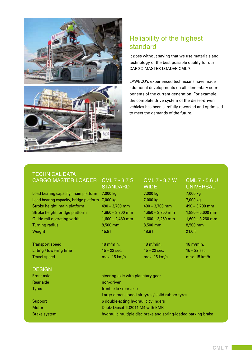

## Reliability of the highest standard

It goes without saying that we use materials and technology of the best possible quality for our CARGO MASTER LOADER CML 7.

LAWECO's experienced technicians have made additional developments on all elementary components of the current generation. For example, the complete drive system of the diesel-driven vehicles has been carefully reworked and optimised to meet the demands of the future.

#### **TECHNICAL DATA** CARGO MASTER LOADER CML 7 - 3.7 S CML 7 - 3.7 W CML 7 - 5.6 U

Load bearing capacity, main platform 7,000 kg 7,000 kg 7,000 kg 7,000 kg Load bearing capacity, bridge platform 7,000 kg 7,000 kg 7,000 kg 7,000 kg Stroke height, main platform 490 – 3,700 mm 490 – 3,700 mm 490 – 3,700 mm Stroke height, bridge platform 1,850 – 3,700 mm 1,850 – 3,700 mm 1,880 – 5,600 mm Guide rail operating width 1,600 – 2,480 mm 1,600 – 3,260 mm 1,600 – 3,260 mm Turning radius 8,500 mm 8,500 mm 8,500 mm Weight 15.8 t  $15.8\,\mathrm{t}$  15.8 t  $18.8\,\mathrm{t}$  15.8 t  $21.0\,\mathrm{t}$ 

Transport speed 18 m/min. 18 m/min. 18 m/min. 18 m/min. 18 m/min. Lifting / lowering time  $15 - 22$  sec.  $15 - 22$  sec.  $15 - 22$  sec.  $15 - 22$  sec. Travel speed max. 15 km/h max. 15 km/h max. 15 km/h

# STANDARD WIDE UNIVERSAL

#### **DESIGN**

| <b>Front axle</b>   | steering axle with planetary gear                             |
|---------------------|---------------------------------------------------------------|
| Rear axle           | non-driven                                                    |
| Tyres               | front axle / rear axle                                        |
|                     | Large-dimensioned air tyres / solid rubber tyres              |
| Support             | 6 double-acting hydraulic cylinders                           |
| Motor               | Deutz Diesel TD2011 M4 with EMR                               |
| <b>Brake system</b> | hydraulic multiple disc brake and spring-loaded parking brake |
|                     |                                                               |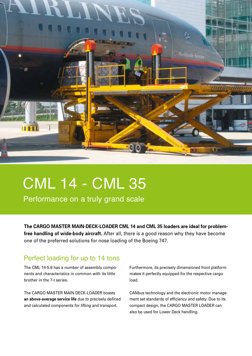

# CML 14 - CML 35

Performance on a truly grand scale

**The CARGO MASTER MAIN-DECK-LOADER CML 14 and CML 35 loaders are ideal for problemfree handling of wide-body aircraft.** After all, there is a good reason why they have become one of the preferred solutions for nose loading of the Boeing 747.

### Perfect loading for up to 14 tons

The CML 14-5.6 has a number of assembly components and characteristics in common with its little brother in the 7-t series.

The CARGO MASTER MAIN-DECK-LOADER boasts **an above-average service life** due to precisely defined and calculated components for lifting and transport.

Furthermore, its precisely dimensioned front platform makes it perfectly equipped for the respective cargo load.

CANbus technology and the electronic motor management set standards of efficiency and safety. Due to its compact design, the CARGO MASTER LOADER can also be used for Lower Deck handling.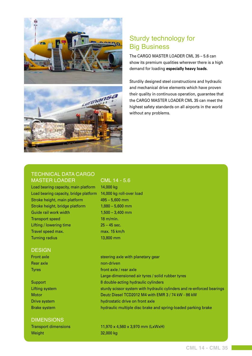



### Sturdy technology for Big Business

The CARGO MASTER LOADER CML 35 – 5.6 can show its premium qualities wherever there is a high demand for loading **especially heavy loads**.

Sturdily designed steel constructions and hydraulic and mechanical drive elements which have proven their quality in continuous operation, guarantee that the CARGO MASTER LOADER CML 35 can meet the highest safety standards on all airports in the world without any problems.

#### Technical data CARGO MASTER LOADER CML 14 - 5.6

Load bearing capacity, main platform 14,000 kg Load bearing capacity, bridge platform 14,000 kg roll-over load Stroke height, main platform 495 – 5,600 mm Stroke height, bridge platform 1,880 – 5,600 mm Guide rail work width 1,500 – 3,400 mm Transport speed 18 m/min. Lifting / lowering time 25 – 45 sec. Travel speed max. max. now max. 15 km/h Turning radius 13,800 mm

#### **DESIGN**

#### **DIMENSIONS**

| <b>Transport dimensions</b> |  |
|-----------------------------|--|
| Weight                      |  |

Front axle steering axle with planetary gear Rear axle non-driven Tyres **front axle / rear axle** Large-dimensioned air tyres / solid rubber tyres Support 8 double-acting hydraulic cylinders Lifting system sturdy scissor system with hydraulic cylinders and re-enforced bearings Motor Deutz Diesel TCD2012 M4 with EMR 3 / 74 kW - 86 kW Drive system **hydrostatic drive on front axle** Brake system hydraulic multiple disc brake and spring-loaded parking brake

> 11,970 x 4,560 x 3,970 mm (LxWxH) 32,000 kg